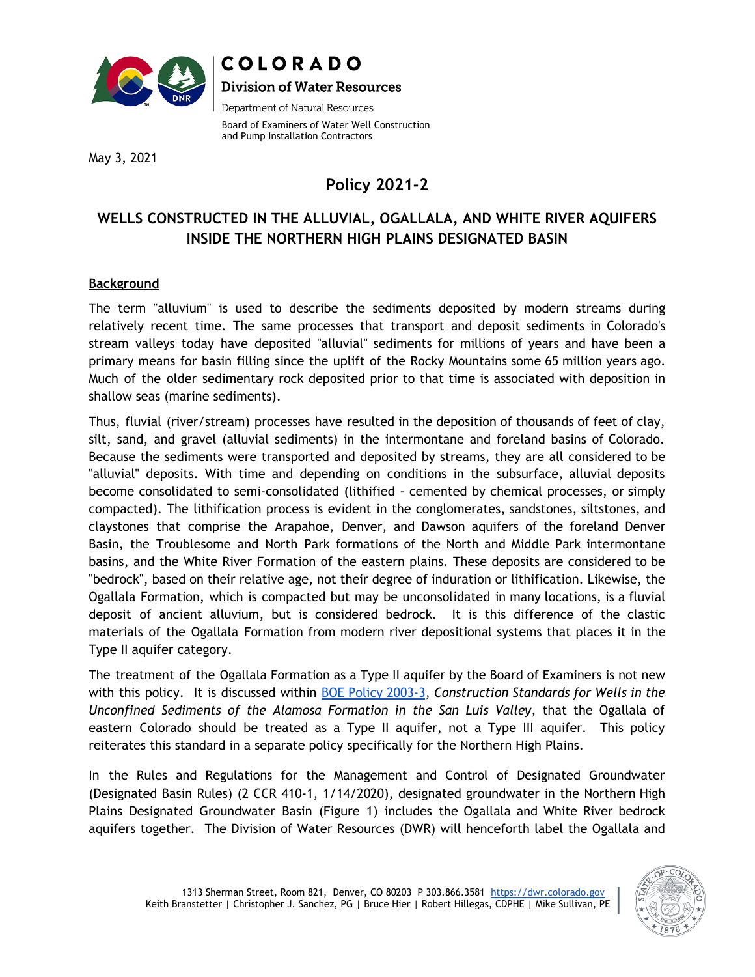



Department of Natural Resources

Board of Examiners of Water Well Construction and Pump Installation Contractors

May 3, 2021

# **Policy 2021-2**

## **WELLS CONSTRUCTED IN THE ALLUVIAL, OGALLALA, AND WHITE RIVER AQUIFERS INSIDE THE NORTHERN HIGH PLAINS DESIGNATED BASIN**

#### **Background**

The term "alluvium" is used to describe the sediments deposited by modern streams during relatively recent time. The same processes that transport and deposit sediments in Colorado's stream valleys today have deposited "alluvial" sediments for millions of years and have been a primary means for basin filling since the uplift of the Rocky Mountains some 65 million years ago. Much of the older sedimentary rock deposited prior to that time is associated with deposition in shallow seas (marine sediments).

Thus, fluvial (river/stream) processes have resulted in the deposition of thousands of feet of clay, silt, sand, and gravel (alluvial sediments) in the intermontane and foreland basins of Colorado. Because the sediments were transported and deposited by streams, they are all considered to be "alluvial" deposits. With time and depending on conditions in the subsurface, alluvial deposits become consolidated to semi-consolidated (lithified - cemented by chemical processes, or simply compacted). The lithification process is evident in the conglomerates, sandstones, siltstones, and claystones that comprise the Arapahoe, Denver, and Dawson aquifers of the foreland Denver Basin, the Troublesome and North Park formations of the North and Middle Park intermontane basins, and the White River Formation of the eastern plains. These deposits are considered to be "bedrock", based on their relative age, not their degree of induration or lithification. Likewise, the Ogallala Formation, which is compacted but may be unconsolidated in many locations, is a fluvial deposit of ancient alluvium, but is considered bedrock. It is this difference of the clastic materials of the Ogallala Formation from modern river depositional systems that places it in the Type II aquifer category.

The treatment of the Ogallala Formation as a Type II aquifer by the Board of Examiners is not new with this policy. It is discussed within BOE Policy [2003-3](https://dnrweblink.state.co.us/dwr/ElectronicFile.aspx?docid=3629751&dbid=0), *Construction Standards for Wells in the Unconfined Sediments of the Alamosa Formation in the San Luis Valley*, that the Ogallala of eastern Colorado should be treated as a Type II aquifer, not a Type III aquifer. This policy reiterates this standard in a separate policy specifically for the Northern High Plains.

In the Rules and Regulations for the Management and Control of Designated Groundwater (Designated Basin Rules) (2 CCR 410-1, 1/14/2020), designated groundwater in the Northern High Plains Designated Groundwater Basin (Figure 1) includes the Ogallala and White River bedrock aquifers together. The Division of Water Resources (DWR) will henceforth label the Ogallala and

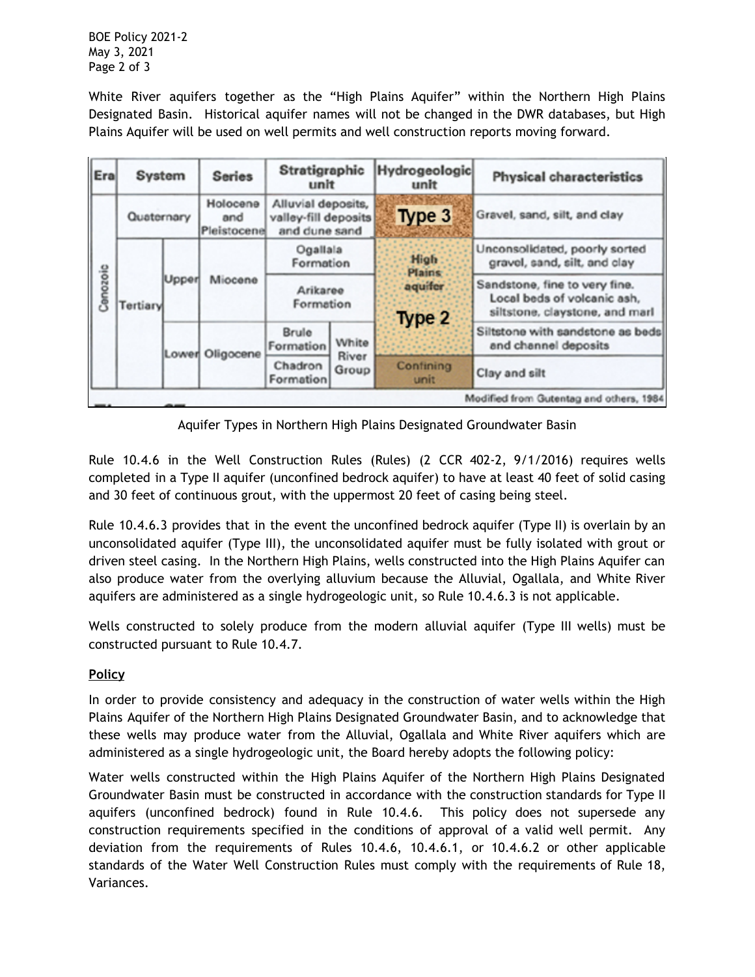BOE Policy 2021-2 May 3, 2021 Page 2 of 3

White River aquifers together as the "High Plains Aquifer" within the Northern High Plains Designated Basin. Historical aquifer names will not be changed in the DWR databases, but High Plains Aquifer will be used on well permits and well construction reports moving forward.

| Era                                     | System     |       | <b>Series</b>                  | Stratigraphic<br>unit                                       |                         | Hydrogeologic<br>unit                              |                   |                                                                                                | <b>Physical characteristics</b>                               |
|-----------------------------------------|------------|-------|--------------------------------|-------------------------------------------------------------|-------------------------|----------------------------------------------------|-------------------|------------------------------------------------------------------------------------------------|---------------------------------------------------------------|
| Conozoic                                | Quaternary |       | Holocene<br>and<br>Pleistocene | Alluvial deposits,<br>valley-fill deposits<br>and dune sand |                         |                                                    | Type 3            |                                                                                                | Gravel, sand, silt, and clay                                  |
|                                         | Tertiary   | Upper | Miocene                        | Ogallala<br>Formation                                       |                         | <b>High</b><br><b>Plains:</b><br>aquifer<br>Type 2 |                   |                                                                                                | Unconsolidated, poorly sorted<br>gravel, sand, silt, and clay |
|                                         |            |       |                                | Arikaree<br>Formation                                       |                         |                                                    |                   | Sandstone, fine to very fine.<br>Local beds of volcanic ash,<br>siltstone, claystone, and marl |                                                               |
|                                         |            |       | Lower Oligocene                | Brule<br>Formation                                          | White<br>River<br>Group |                                                    |                   |                                                                                                | Siltstone with sandstone as beds<br>and channel deposits      |
|                                         |            |       |                                | Chadron<br>Formation                                        |                         |                                                    | Confining<br>unit |                                                                                                | Clay and silt                                                 |
| Modified from Gutentag and others, 1984 |            |       |                                |                                                             |                         |                                                    |                   |                                                                                                |                                                               |

Aquifer Types in Northern High Plains Designated Groundwater Basin

Rule 10.4.6 in the Well Construction Rules (Rules) (2 CCR 402-2, 9/1/2016) requires wells completed in a Type II aquifer (unconfined bedrock aquifer) to have at least 40 feet of solid casing and 30 feet of continuous grout, with the uppermost 20 feet of casing being steel.

Rule 10.4.6.3 provides that in the event the unconfined bedrock aquifer (Type II) is overlain by an unconsolidated aquifer (Type III), the unconsolidated aquifer must be fully isolated with grout or driven steel casing. In the Northern High Plains, wells constructed into the High Plains Aquifer can also produce water from the overlying alluvium because the Alluvial, Ogallala, and White River aquifers are administered as a single hydrogeologic unit, so Rule 10.4.6.3 is not applicable.

Wells constructed to solely produce from the modern alluvial aquifer (Type III wells) must be constructed pursuant to Rule 10.4.7.

### **Policy**

In order to provide consistency and adequacy in the construction of water wells within the High Plains Aquifer of the Northern High Plains Designated Groundwater Basin, and to acknowledge that these wells may produce water from the Alluvial, Ogallala and White River aquifers which are administered as a single hydrogeologic unit, the Board hereby adopts the following policy:

Water wells constructed within the High Plains Aquifer of the Northern High Plains Designated Groundwater Basin must be constructed in accordance with the construction standards for Type II aquifers (unconfined bedrock) found in Rule 10.4.6. This policy does not supersede any construction requirements specified in the conditions of approval of a valid well permit. Any deviation from the requirements of Rules 10.4.6, 10.4.6.1, or 10.4.6.2 or other applicable standards of the Water Well Construction Rules must comply with the requirements of Rule 18, Variances.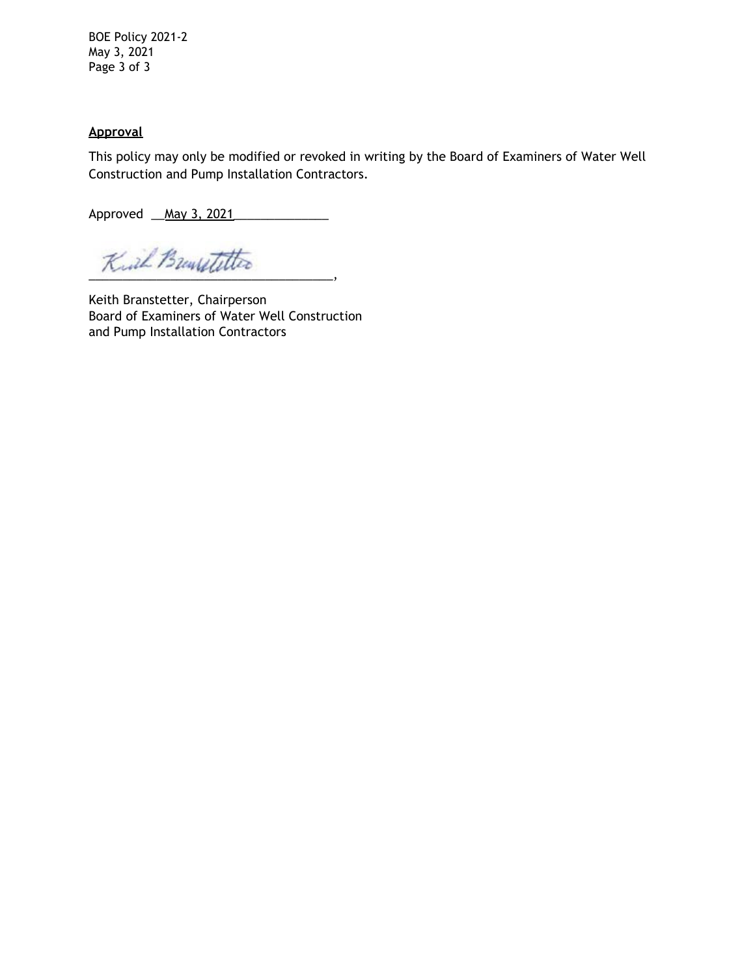BOE Policy 2021-2 May 3, 2021 Page 3 of 3

#### **Approval**

This policy may only be modified or revoked in writing by the Board of Examiners of Water Well Construction and Pump Installation Contractors.

Approved <u>\_\_May 3, 2021</u>

Kuil Buurstetter

Keith Branstetter, Chairperson Board of Examiners of Water Well Construction and Pump Installation Contractors